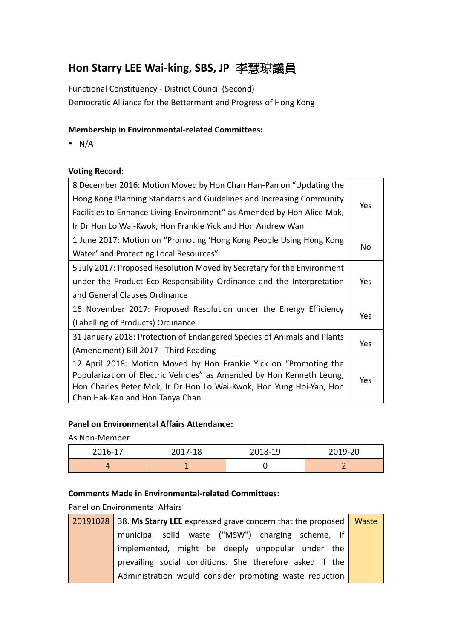# **Hon Starry LEE Wai-king, SBS, JP** 李慧琼議員

Functional Constituency - District Council (Second) Democratic Alliance for the Betterment and Progress of Hong Kong

### **Membership in Environmental-related Committees:**

 $\bullet$  N/A

#### **Voting Record:**

| 8 December 2016: Motion Moved by Hon Chan Han-Pan on "Updating the         |            |  |
|----------------------------------------------------------------------------|------------|--|
| Hong Kong Planning Standards and Guidelines and Increasing Community       | Yes        |  |
| Facilities to Enhance Living Environment" as Amended by Hon Alice Mak,     |            |  |
| Ir Dr Hon Lo Wai-Kwok, Hon Frankie Yick and Hon Andrew Wan                 |            |  |
| 1 June 2017: Motion on "Promoting 'Hong Kong People Using Hong Kong        |            |  |
| Water' and Protecting Local Resources"                                     | No         |  |
| 5 July 2017: Proposed Resolution Moved by Secretary for the Environment    |            |  |
| under the Product Eco-Responsibility Ordinance and the Interpretation      |            |  |
| and General Clauses Ordinance                                              |            |  |
| 16 November 2017: Proposed Resolution under the Energy Efficiency          |            |  |
| (Labelling of Products) Ordinance                                          | <b>Yes</b> |  |
| 31 January 2018: Protection of Endangered Species of Animals and Plants    |            |  |
| (Amendment) Bill 2017 - Third Reading                                      | Yes        |  |
| 12 April 2018: Motion Moved by Hon Frankie Yick on "Promoting the          |            |  |
| Popularization of Electric Vehicles" as Amended by Hon Kenneth Leung,      |            |  |
| Yes<br>Hon Charles Peter Mok, Ir Dr Hon Lo Wai-Kwok, Hon Yung Hoi-Yan, Hon |            |  |
| Chan Hak-Kan and Hon Tanya Chan                                            |            |  |

#### **Panel on Environmental Affairs Attendance:**

As Non-Member

| 2016-17 | 2017-18 | 2018-19 | 2019-20 |
|---------|---------|---------|---------|
|         |         |         |         |

## **Comments Made in Environmental-related Committees:**

Panel on Environmental Affairs

| 20191028 38. Ms Starry LEE expressed grave concern that the proposed Waste |  |
|----------------------------------------------------------------------------|--|
| municipal solid waste ("MSW") charging scheme, if                          |  |
| implemented, might be deeply unpopular under the                           |  |
| prevailing social conditions. She therefore asked if the                   |  |
| Administration would consider promoting waste reduction                    |  |